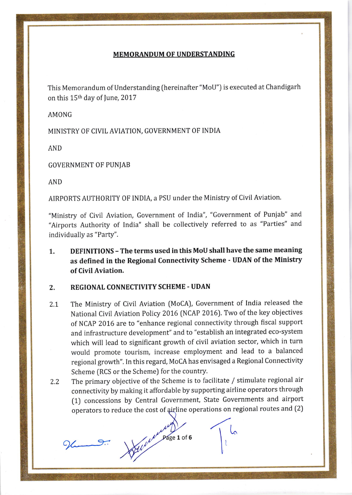## **MEMORANDUM OF UNDERSTANDING**

This Memorandum of Understanding (hereinafter "MoU") is executed at Chandigarh on this 15<sup>th</sup> day of June, 2017

AMONG

MINISTRY OF CIVIL AVIATION, GOVERNMENT OF INDIA

**AND** 

**GOVERNMENT OF PUNJAB** 

**AND** 

AIRPORTS AUTHORITY OF INDIA, a PSU under the Ministry of Civil Aviation.

"Ministry of Civil Aviation, Government of India", "Government of Punjab" and "Airports Authority of India" shall be collectively referred to as "Parties" and individually as "Party".

DEFINITIONS - The terms used in this MoU shall have the same meaning  $1.$ as defined in the Regional Connectivity Scheme - UDAN of the Ministry of Civil Aviation.

## **REGIONAL CONNECTIVITY SCHEME - UDAN** 2.

- The Ministry of Civil Aviation (MoCA), Government of India released the  $2.1$ National Civil Aviation Policy 2016 (NCAP 2016). Two of the key objectives of NCAP 2016 are to "enhance regional connectivity through fiscal support and infrastructure development" and to "establish an integrated eco-system which will lead to significant growth of civil aviation sector, which in turn would promote tourism, increase employment and lead to a balanced regional growth". In this regard, MoCA has envisaged a Regional Connectivity Scheme (RCS or the Scheme) for the country.
- The primary objective of the Scheme is to facilitate / stimulate regional air  $2.2$ connectivity by making it affordable by supporting airline operators through (1) concessions by Central Government, State Governments and airport operators to reduce the cost of airline operations on regional routes and (2)

 $M \over \text{Page 1 of 6}$